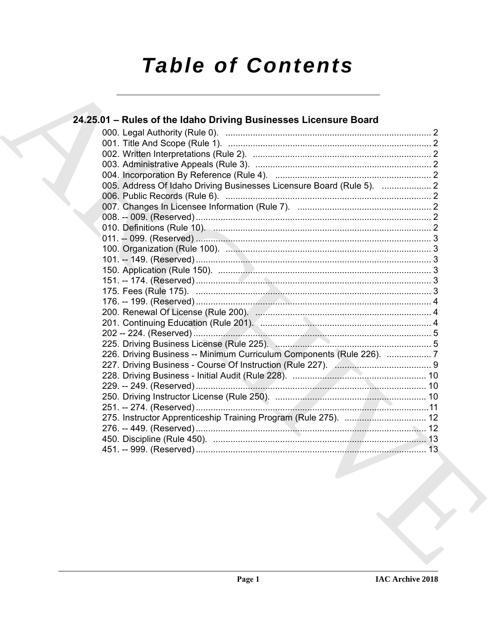# **Table of Contents**

| 24.25.01 - Rules of the Idaho Driving Businesses Licensure Board      |  |
|-----------------------------------------------------------------------|--|
|                                                                       |  |
|                                                                       |  |
|                                                                       |  |
|                                                                       |  |
|                                                                       |  |
| 005. Address Of Idaho Driving Businesses Licensure Board (Rule 5).  2 |  |
|                                                                       |  |
|                                                                       |  |
|                                                                       |  |
|                                                                       |  |
|                                                                       |  |
|                                                                       |  |
|                                                                       |  |
|                                                                       |  |
|                                                                       |  |
|                                                                       |  |
|                                                                       |  |
|                                                                       |  |
|                                                                       |  |
|                                                                       |  |
|                                                                       |  |
| 226. Driving Business -- Minimum Curriculum Components (Rule 226). 7  |  |
|                                                                       |  |
|                                                                       |  |
|                                                                       |  |
|                                                                       |  |
|                                                                       |  |
|                                                                       |  |
|                                                                       |  |
|                                                                       |  |
|                                                                       |  |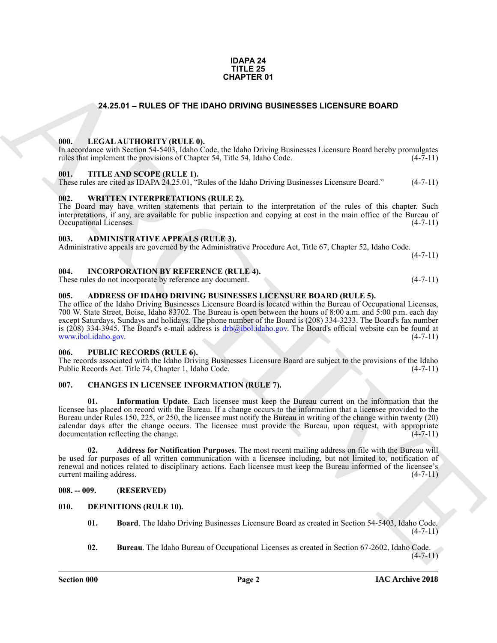#### **IDAPA 24 TITLE 25 CHAPTER 01**

### **24.25.01 – RULES OF THE IDAHO DRIVING BUSINESSES LICENSURE BOARD**

#### <span id="page-1-20"></span><span id="page-1-1"></span><span id="page-1-0"></span>**000. LEGAL AUTHORITY (RULE 0).**

In accordance with Section 54-5403, Idaho Code, the Idaho Driving Businesses Licensure Board hereby promulgates rules that implement the provisions of Chapter 54, Title 54, Idaho Code. (4-7-11)

#### <span id="page-1-22"></span><span id="page-1-2"></span>**001. TITLE AND SCOPE (RULE 1).**

These rules are cited as IDAPA 24.25.01, "Rules of the Idaho Driving Businesses Licensure Board." (4-7-11)

#### <span id="page-1-23"></span><span id="page-1-3"></span>**002. WRITTEN INTERPRETATIONS (RULE 2).**

The Board may have written statements that pertain to the interpretation of the rules of this chapter. Such interpretations, if any, are available for public inspection and copying at cost in the main office of the Bureau of Occupational Licenses. (4-7-11) Occupational Licenses.

#### <span id="page-1-12"></span><span id="page-1-4"></span>**003. ADMINISTRATIVE APPEALS (RULE 3).**

Administrative appeals are governed by the Administrative Procedure Act, Title 67, Chapter 52, Idaho Code.  $(4 - 7 - 11)$ 

#### <span id="page-1-19"></span><span id="page-1-5"></span>**004. INCORPORATION BY REFERENCE (RULE 4).**

These rules do not incorporate by reference any document. (4-7-11)

#### <span id="page-1-11"></span><span id="page-1-6"></span>**005. ADDRESS OF IDAHO DRIVING BUSINESSES LICENSURE BOARD (RULE 5).**

The office of the Idaho Driving Businesses Licensure Board is located within the Bureau of Occupational Licenses, 700 W. State Street, Boise, Idaho 83702. The Bureau is open between the hours of 8:00 a.m. and 5:00 p.m. each day except Saturdays, Sundays and holidays. The phone number of the Board is (208) 334-3233. The Board's fax number is (208) 334-3945. The Board's e-mail address is  $drb@ibol.idaho.gov$ . The Board's official website can be found at www.ibol.idaho.gov. (4-7-11)

#### <span id="page-1-21"></span><span id="page-1-7"></span>**006. PUBLIC RECORDS (RULE 6).**

The records associated with the Idaho Driving Businesses Licensure Board are subject to the provisions of the Idaho Public Records Act. Title 74, Chapter 1, Idaho Code. (4-7-11)

#### <span id="page-1-15"></span><span id="page-1-13"></span><span id="page-1-8"></span>**007. CHANGES IN LICENSEE INFORMATION (RULE 7).**

**[CH](drb@ibol.idaho.gov)APTER 01**<br>
24.28.01 – RULES OF THE DAHO DRIVING BUSINESSES LICENSURE BOARD<br>
1980. In CALIFORNITY (RULE)<br>
1980. IN THE AND SCOPE RET.R. 1.<br>
1981. THE AND SCOPE RET.R. 1.<br>
1991. IN THE AND SCOPE RET.R. 1.<br>
1992. IN THE A **01. Information Update**. Each licensee must keep the Bureau current on the information that the licensee has placed on record with the Bureau. If a change occurs to the information that a licensee provided to the Bureau under Rules 150, 225, or 250, the licensee must notify the Bureau in writing of the change within twenty (20) calendar days after the change occurs. The licensee must provide the Bureau, upon request, with appropriate documentation reflecting the change. (4-7-11)

<span id="page-1-14"></span>**02. Address for Notification Purposes**. The most recent mailing address on file with the Bureau will be used for purposes of all written communication with a licensee including, but not limited to, notification of renewal and notices related to disciplinary actions. Each licensee must keep the Bureau informed of the licensee's current mailing address. (4-7-11)

#### <span id="page-1-9"></span>**008. -- 009. (RESERVED)**

#### <span id="page-1-10"></span>**010. DEFINITIONS (RULE 10).**

- <span id="page-1-17"></span><span id="page-1-16"></span>**01. Board**. The Idaho Driving Businesses Licensure Board as created in Section 54-5403, Idaho Code.  $(4 - 7 - 11)$
- <span id="page-1-18"></span>**02. Bureau**. The Idaho Bureau of Occupational Licenses as created in Section 67-2602, Idaho Code.  $(4 - 7 - 11)$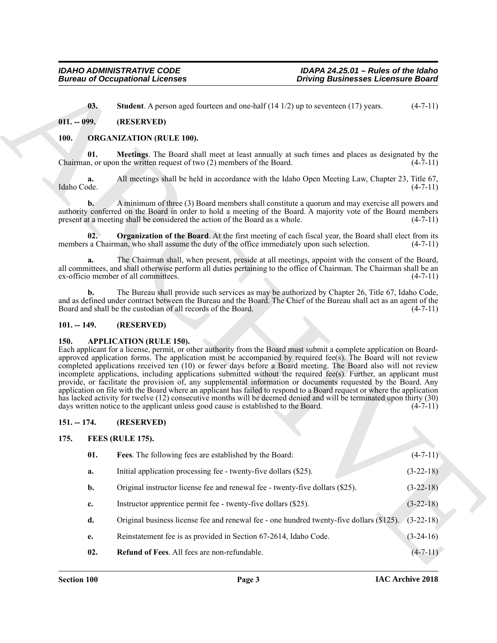#### <span id="page-2-7"></span><span id="page-2-0"></span>**011. -- 099. (RESERVED)**

#### <span id="page-2-12"></span><span id="page-2-11"></span><span id="page-2-10"></span><span id="page-2-1"></span>**100. ORGANIZATION (RULE 100).**

#### <span id="page-2-2"></span>**101. -- 149. (RESERVED)**

#### <span id="page-2-6"></span><span id="page-2-3"></span>**150. APPLICATION (RULE 150).**

#### <span id="page-2-4"></span>**151. -- 174. (RESERVED)**

#### <span id="page-2-9"></span><span id="page-2-8"></span><span id="page-2-5"></span>**175. FEES (RULE 175).**

|                   | <b>Bureau of Occupational Licenses</b><br><b>Driving Businesses Licensure Board</b>                                                                                                                                                                                                                                                                                                                                                                                                                                                                                                                                                                                                                                                                                                                                                                                                                                                                                       |                                           |
|-------------------|---------------------------------------------------------------------------------------------------------------------------------------------------------------------------------------------------------------------------------------------------------------------------------------------------------------------------------------------------------------------------------------------------------------------------------------------------------------------------------------------------------------------------------------------------------------------------------------------------------------------------------------------------------------------------------------------------------------------------------------------------------------------------------------------------------------------------------------------------------------------------------------------------------------------------------------------------------------------------|-------------------------------------------|
| 03.               | <b>Student</b> . A person aged fourteen and one-half $(14 1/2)$ up to seventeen $(17)$ years.                                                                                                                                                                                                                                                                                                                                                                                                                                                                                                                                                                                                                                                                                                                                                                                                                                                                             | $(4-7-11)$                                |
| $011. - 099.$     | (RESERVED)                                                                                                                                                                                                                                                                                                                                                                                                                                                                                                                                                                                                                                                                                                                                                                                                                                                                                                                                                                |                                           |
| <b>100.</b>       | <b>ORGANIZATION (RULE 100).</b>                                                                                                                                                                                                                                                                                                                                                                                                                                                                                                                                                                                                                                                                                                                                                                                                                                                                                                                                           |                                           |
| 01.               | Meetings. The Board shall meet at least annually at such times and places as designated by the<br>Chairman, or upon the written request of two (2) members of the Board.                                                                                                                                                                                                                                                                                                                                                                                                                                                                                                                                                                                                                                                                                                                                                                                                  | $(4-7-11)$                                |
| a.<br>Idaho Code. | All meetings shall be held in accordance with the Idaho Open Meeting Law, Chapter 23, Title 67,                                                                                                                                                                                                                                                                                                                                                                                                                                                                                                                                                                                                                                                                                                                                                                                                                                                                           | $(4-7-11)$                                |
| $\mathbf{b}$ .    | A minimum of three (3) Board members shall constitute a quorum and may exercise all powers and<br>authority conferred on the Board in order to hold a meeting of the Board. A majority vote of the Board members<br>present at a meeting shall be considered the action of the Board as a whole.                                                                                                                                                                                                                                                                                                                                                                                                                                                                                                                                                                                                                                                                          | $(4-7-11)$                                |
| 02.               | <b>Organization of the Board.</b> At the first meeting of each fiscal year, the Board shall elect from its<br>members a Chairman, who shall assume the duty of the office immediately upon such selection.                                                                                                                                                                                                                                                                                                                                                                                                                                                                                                                                                                                                                                                                                                                                                                | $(4-7-11)$                                |
| a.                | The Chairman shall, when present, preside at all meetings, appoint with the consent of the Board,<br>all committees, and shall otherwise perform all duties pertaining to the office of Chairman. The Chairman shall be an<br>ex-officio member of all committees.                                                                                                                                                                                                                                                                                                                                                                                                                                                                                                                                                                                                                                                                                                        | $(4-7-11)$                                |
| $\mathbf{b}$ .    | The Bureau shall provide such services as may be authorized by Chapter 26, Title 67, Idaho Code,<br>and as defined under contract between the Bureau and the Board. The Chief of the Bureau shall act as an agent of the<br>Board and shall be the custodian of all records of the Board.                                                                                                                                                                                                                                                                                                                                                                                                                                                                                                                                                                                                                                                                                 | $(4-7-11)$                                |
| $101. - 149.$     | (RESERVED)                                                                                                                                                                                                                                                                                                                                                                                                                                                                                                                                                                                                                                                                                                                                                                                                                                                                                                                                                                |                                           |
| <b>150.</b>       | <b>APPLICATION (RULE 150).</b><br>Each applicant for a license, permit, or other authority from the Board must submit a complete application on Board-<br>approved application forms. The application must be accompanied by required fee(s). The Board will not review<br>completed applications received ten (10) or fewer days before a Board meeting. The Board also will not review<br>incomplete applications, including applications submitted without the required fee(s). Further, an applicant must<br>provide, or facilitate the provision of, any supplemental information or documents requested by the Board. Any<br>application on file with the Board where an applicant has failed to respond to a Board request or where the application<br>has lacked activity for twelve (12) consecutive months will be deemed denied and will be terminated upon thirty (30)<br>days written notice to the applicant unless good cause is established to the Board. | $(4-7-11)$                                |
| $151. - 174.$     | (RESERVED)                                                                                                                                                                                                                                                                                                                                                                                                                                                                                                                                                                                                                                                                                                                                                                                                                                                                                                                                                                |                                           |
| 175.              | <b>FEES (RULE 175).</b>                                                                                                                                                                                                                                                                                                                                                                                                                                                                                                                                                                                                                                                                                                                                                                                                                                                                                                                                                   |                                           |
|                   | Fees. The following fees are established by the Board:                                                                                                                                                                                                                                                                                                                                                                                                                                                                                                                                                                                                                                                                                                                                                                                                                                                                                                                    | $(4 - 7 - 11)$                            |
| 01.               |                                                                                                                                                                                                                                                                                                                                                                                                                                                                                                                                                                                                                                                                                                                                                                                                                                                                                                                                                                           |                                           |
| a.                | Initial application processing fee - twenty-five dollars (\$25).                                                                                                                                                                                                                                                                                                                                                                                                                                                                                                                                                                                                                                                                                                                                                                                                                                                                                                          | $(3-22-18)$                               |
| b.                | Original instructor license fee and renewal fee - twenty-five dollars (\$25).                                                                                                                                                                                                                                                                                                                                                                                                                                                                                                                                                                                                                                                                                                                                                                                                                                                                                             | $(3-22-18)$                               |
| c.                | Instructor apprentice permit fee - twenty-five dollars (\$25).                                                                                                                                                                                                                                                                                                                                                                                                                                                                                                                                                                                                                                                                                                                                                                                                                                                                                                            |                                           |
| d.                | Original business license fee and renewal fee - one hundred twenty-five dollars (\$125).                                                                                                                                                                                                                                                                                                                                                                                                                                                                                                                                                                                                                                                                                                                                                                                                                                                                                  |                                           |
| e.                | Reinstatement fee is as provided in Section 67-2614, Idaho Code.                                                                                                                                                                                                                                                                                                                                                                                                                                                                                                                                                                                                                                                                                                                                                                                                                                                                                                          | $(3-22-18)$<br>$(3-22-18)$<br>$(3-24-16)$ |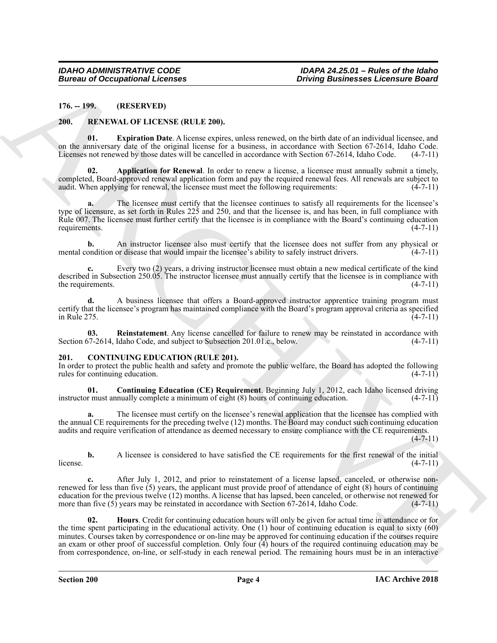<span id="page-3-0"></span>**176. -- 199. (RESERVED)**

#### <span id="page-3-8"></span><span id="page-3-6"></span><span id="page-3-1"></span>**200. RENEWAL OF LICENSE (RULE 200).**

**01. Expiration Date**. A license expires, unless renewed, on the birth date of an individual licensee, and on the anniversary date of the original license for a business, in accordance with Section 67-2614, Idaho Code. Licenses not renewed by those dates will be cancelled in accordance with Section 67-2614, Idaho Code. (4-7-11)

<span id="page-3-7"></span>**02. Application for Renewal**. In order to renew a license, a licensee must annually submit a timely, completed, Board-approved renewal application form and pay the required renewal fees. All renewals are subject to audit. When applying for renewal, the licensee must meet the following requirements: (4-7-11)

**a.** The licensee must certify that the licensee continues to satisfy all requirements for the licensee's type of licensure, as set forth in Rules 225 and 250, and that the licensee is, and has been, in full compliance with Rule 007. The licensee must further certify that the licensee is in compliance with the Board's continuing education requirements.  $(4-7-11)$ requirements.

**b.** An instructor licensee also must certify that the licensee does not suffer from any physical or mental condition or disease that would impair the licensee's ability to safely instruct drivers. (4-7-11)

**c.** Every two (2) years, a driving instructor licensee must obtain a new medical certificate of the kind described in Subsection 250.05. The instructor licensee must annually certify that the licensee is in compliance with the requirements.  $(4-7-11)$ 

**d.** A business licensee that offers a Board-approved instructor apprentice training program must certify that the licensee's program has maintained compliance with the Board's program approval criteria as specified  $\frac{1}{4}$  in Rule 275.  $\frac{1}{4}$ 

<span id="page-3-9"></span>**03.** Reinstatement. Any license cancelled for failure to renew may be reinstated in accordance with  $77-2614$ , Idaho Code, and subject to Subsection 201.01.c., below. (4-7-11) Section 67-2614, Idaho Code, and subject to Subsection 201.01.c., below.

#### <span id="page-3-3"></span><span id="page-3-2"></span>**201. CONTINUING EDUCATION (RULE 201).**

In order to protect the public health and safety and promote the public welfare, the Board has adopted the following rules for continuing education.

<span id="page-3-4"></span>**01. Continuing Education (CE) Requirement**. Beginning July 1, 2012, each Idaho licensed driving instructor must annually complete a minimum of eight (8) hours of continuing education. (4-7-11)

The licensee must certify on the licensee's renewal application that the licensee has complied with the annual CE requirements for the preceding twelve (12) months. The Board may conduct such continuing education audits and require verification of attendance as deemed necessary to ensure compliance with the CE requirements. (4-7-11)

**b.** A licensee is considered to have satisfied the CE requirements for the first renewal of the initial (4-7-11)  $l$  license.  $(4-7-11)$ 

<span id="page-3-5"></span>After July 1, 2012, and prior to reinstatement of a license lapsed, canceled, or otherwise nonrenewed for less than five (5) years, the applicant must provide proof of attendance of eight (8) hours of continuing education for the previous twelve (12) months. A license that has lapsed, been canceled, or otherwise not renewed for more than five (5) years may be reinstated in accordance with Section 67-2614, Idaho Code. (4-7-11)

Borrow of Occupational Licenses<br>
16. 199. (REELING, OF LICENSE RIULE 200).<br>
200. 199. (REELING, OF LICENSE RIULE 200).<br>
200. 199. (Particular of Licenses and sometimes with distinct the relation of the state of the state **02. Hours**. Credit for continuing education hours will only be given for actual time in attendance or for the time spent participating in the educational activity. One (1) hour of continuing education is equal to sixty (60) minutes. Courses taken by correspondence or on-line may be approved for continuing education if the courses require an exam or other proof of successful completion. Only four (4) hours of the required continuing education may be from correspondence, on-line, or self-study in each renewal period. The remaining hours must be in an interactive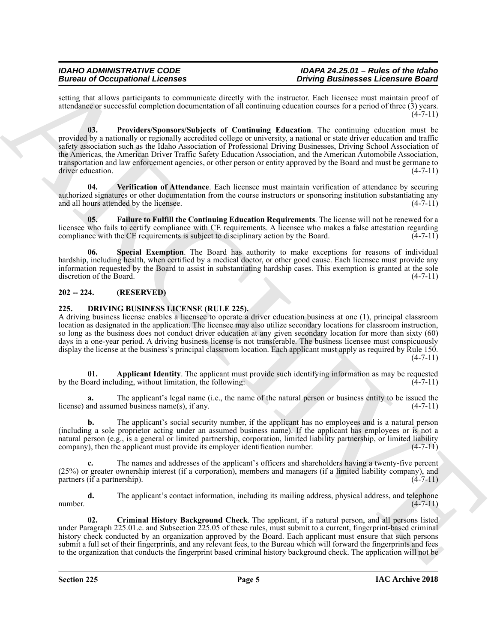<span id="page-4-3"></span>setting that allows participants to communicate directly with the instructor. Each licensee must maintain proof of attendance or successful completion documentation of all continuing education courses for a period of three (3) years.  $(4 - 7 - 11)$ 

Bearing the decomposition of the system space of the system interaction and the system space of the system space of the system space of the system space of the system space of the system space of the system space of the s **03. Providers/Sponsors/Subjects of Continuing Education**. The continuing education must be provided by a nationally or regionally accredited college or university, a national or state driver education and traffic safety association such as the Idaho Association of Professional Driving Businesses, Driving School Association of the Americas, the American Driver Traffic Safety Education Association, and the American Automobile Association, transportation and law enforcement agencies, or other person or entity approved by the Board and must be germane to driver education. (4-7-11)

<span id="page-4-5"></span>**04. Verification of Attendance**. Each licensee must maintain verification of attendance by securing authorized signatures or other documentation from the course instructors or sponsoring institution substantiating any and all hours attended by the licensee. (4-7-11)

<span id="page-4-2"></span>**05. Failure to Fulfill the Continuing Education Requirements**. The license will not be renewed for a licensee who fails to certify compliance with CE requirements. A licensee who makes a false attestation regarding compliance with the CE requirements is subject to disciplinary action by the Board.  $(4-7-11)$ 

<span id="page-4-4"></span>**Special Exemption**. The Board has authority to make exceptions for reasons of individual hardship, including health, when certified by a medical doctor, or other good cause. Each licensee must provide any information requested by the Board to assist in substantiating hardship cases. This exemption is granted at the sole discretion of the Board. (4-7-11)

### <span id="page-4-0"></span>**202 -- 224. (RESERVED)**

### <span id="page-4-6"></span><span id="page-4-1"></span>**225. DRIVING BUSINESS LICENSE (RULE 225).**

A driving business license enables a licensee to operate a driver education business at one (1), principal classroom location as designated in the application. The licensee may also utilize secondary locations for classroom instruction, so long as the business does not conduct driver education at any given secondary location for more than sixty (60) days in a one-year period. A driving business license is not transferable. The business licensee must conspicuously display the license at the business's principal classroom location. Each applicant must apply as required by Rule 150.  $(4 - 7 - 11)$ 

<span id="page-4-7"></span>**01. Applicant Identity**. The applicant must provide such identifying information as may be requested by the Board including, without limitation, the following: (4-7-11)

**a.** The applicant's legal name (i.e., the name of the natural person or business entity to be issued the license) and assumed business name(s), if any. (4-7-11)

**b.** The applicant's social security number, if the applicant has no employees and is a natural person (including a sole proprietor acting under an assumed business name). If the applicant has employees or is not a natural person (e.g., is a general or limited partnership, corporation, limited liability partnership, or limited liability company), then the applicant must provide its employer identification number. (4-7-11)

**c.** The names and addresses of the applicant's officers and shareholders having a twenty-five percent (25%) or greater ownership interest (if a corporation), members and managers (if a limited liability company), and partners (if a partnership).  $(4-7-11)$ 

**d.** The applicant's contact information, including its mailing address, physical address, and telephone number.  $(4-7-11)$ 

<span id="page-4-8"></span>**02. Criminal History Background Check**. The applicant, if a natural person, and all persons listed under Paragraph 225.01.c. and Subsection 225.05 of these rules, must submit to a current, fingerprint-based criminal history check conducted by an organization approved by the Board. Each applicant must ensure that such persons submit a full set of their fingerprints, and any relevant fees, to the Bureau which will forward the fingerprints and fees to the organization that conducts the fingerprint based criminal history background check. The application will not be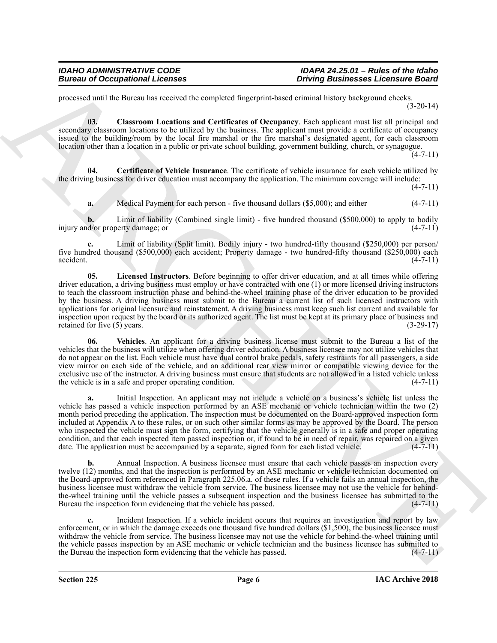processed until the Bureau has received the completed fingerprint-based criminal history background checks. (3-20-14)

<span id="page-5-1"></span>**03. Classroom Locations and Certificates of Occupancy**. Each applicant must list all principal and secondary classroom locations to be utilized by the business. The applicant must provide a certificate of occupancy issued to the building/room by the local fire marshal or the fire marshal's designated agent, for each classroom location other than a location in a public or private school building, government building, church, or synagogue.

 $(4 - 7 - 11)$ 

**04. Certificate of Vehicle Insurance**. The certificate of vehicle insurance for each vehicle utilized by the driving business for driver education must accompany the application. The minimum coverage will include:

 $(4 - 7 - 11)$ 

<span id="page-5-0"></span>**a.** Medical Payment for each person - five thousand dollars (\$5,000); and either (4-7-11)

**b.** Limit of liability (Combined single limit) - five hundred thousand (\$500,000) to apply to bodily d/or property damage; or (4-7-11) injury and/or property damage; or

<span id="page-5-2"></span>**c.** Limit of liability (Split limit). Bodily injury - two hundred-fifty thousand (\$250,000) per person/ five hundred thousand (\$500,000) each accident; Property damage - two hundred-fifty thousand (\$250,000) each  $\alpha$ ccident.  $(4-7-11)$ 

Borrow of Occupational Lectures<br>
Theorem is a constant of the complete the complete through the China and the China and the China and the China and the China and the China and the China and the China and the China and the **05. Licensed Instructors**. Before beginning to offer driver education, and at all times while offering driver education, a driving business must employ or have contracted with one (1) or more licensed driving instructors to teach the classroom instruction phase and behind-the-wheel training phase of the driver education to be provided by the business. A driving business must submit to the Bureau a current list of such licensed instructors with applications for original licensure and reinstatement. A driving business must keep such list current and available for inspection upon request by the board or its authorized agent. The list must be kept at its primary place of business and retained for five (5) years. (3-29-17) retained for five (5) years.

<span id="page-5-3"></span>**06. Vehicles**. An applicant for a driving business license must submit to the Bureau a list of the vehicles that the business will utilize when offering driver education. A business licensee may not utilize vehicles that do not appear on the list. Each vehicle must have dual control brake pedals, safety restraints for all passengers, a side view mirror on each side of the vehicle, and an additional rear view mirror or compatible viewing device for the exclusive use of the instructor. A driving business must ensure that students are not allowed in a listed vehicle unless the vehicle is in a safe and proper operating condition. (4-7-11)

**a.** Initial Inspection. An applicant may not include a vehicle on a business's vehicle list unless the vehicle has passed a vehicle inspection performed by an ASE mechanic or vehicle technician within the two (2) month period preceding the application. The inspection must be documented on the Board-approved inspection form included at Appendix A to these rules, or on such other similar forms as may be approved by the Board. The person who inspected the vehicle must sign the form, certifying that the vehicle generally is in a safe and proper operating condition, and that each inspected item passed inspection or, if found to be in need of repair, was repaired on a given date. The application must be accompanied by a separate, signed form for each listed vehicle. (4-7-11)

**b.** Annual Inspection. A business licensee must ensure that each vehicle passes an inspection every twelve (12) months, and that the inspection is performed by an ASE mechanic or vehicle technician documented on the Board-approved form referenced in Paragraph 225.06.a. of these rules. If a vehicle fails an annual inspection, the business licensee must withdraw the vehicle from service. The business licensee may not use the vehicle for behindthe-wheel training until the vehicle passes a subsequent inspection and the business licensee has submitted to the Bureau the inspection form evidencing that the vehicle has passed. (4-7-11)

**c.** Incident Inspection. If a vehicle incident occurs that requires an investigation and report by law enforcement, or in which the damage exceeds one thousand five hundred dollars (\$1,500), the business licensee must withdraw the vehicle from service. The business licensee may not use the vehicle for behind-the-wheel training until the vehicle passes inspection by an ASE mechanic or vehicle technician and the business licensee has submitted to the Bureau the inspection form evidencing that the vehicle has passed.  $(4-7-11)$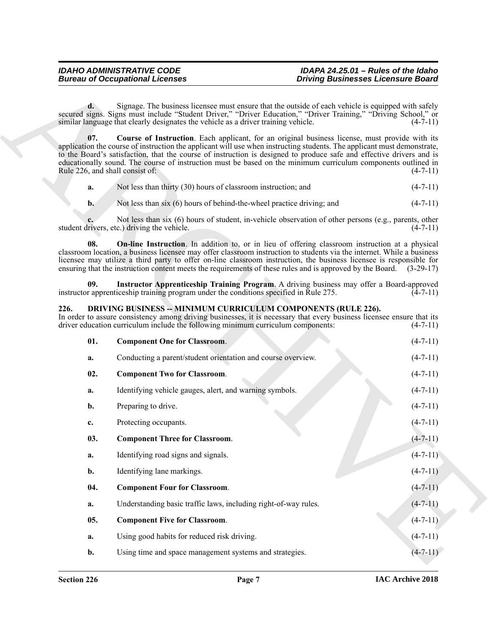<span id="page-6-9"></span><span id="page-6-7"></span>

|  | Not less than thirty (30) hours of classroom instruction; and | $(4-7-11)$ |
|--|---------------------------------------------------------------|------------|
|--|---------------------------------------------------------------|------------|

#### <span id="page-6-8"></span><span id="page-6-6"></span><span id="page-6-5"></span><span id="page-6-4"></span><span id="page-6-3"></span><span id="page-6-2"></span><span id="page-6-1"></span><span id="page-6-0"></span>**226. DRIVING BUSINESS -- MINIMUM CURRICULUM COMPONENTS (RULE 226).**

|                | <b>Bureau of Occupational Licenses</b>                                                                                                            | <b>Driving Businesses Licensure Board</b>                                                                                                                                                                                                                                                                                                                                                                                                                                        |            |
|----------------|---------------------------------------------------------------------------------------------------------------------------------------------------|----------------------------------------------------------------------------------------------------------------------------------------------------------------------------------------------------------------------------------------------------------------------------------------------------------------------------------------------------------------------------------------------------------------------------------------------------------------------------------|------------|
| d.             | similar language that clearly designates the vehicle as a driver training vehicle.                                                                | Signage. The business licensee must ensure that the outside of each vehicle is equipped with safely<br>secured signs. Signs must include "Student Driver," "Driver Education," "Driver Training," "Driving School," or<br>$(4-7-11)$                                                                                                                                                                                                                                             |            |
| 07.            | Rule 226, and shall consist of:                                                                                                                   | Course of Instruction. Each applicant, for an original business license, must provide with its<br>application the course of instruction the applicant will use when instructing students. The applicant must demonstrate,<br>to the Board's satisfaction, that the course of instruction is designed to produce safe and effective drivers and is<br>educationally sound. The course of instruction must be based on the minimum curriculum components outlined in<br>$(4-7-11)$ |            |
| a.             | Not less than thirty (30) hours of classroom instruction; and                                                                                     | $(4-7-11)$                                                                                                                                                                                                                                                                                                                                                                                                                                                                       |            |
| $\mathbf{b}$ . | Not less than six (6) hours of behind-the-wheel practice driving; and                                                                             | $(4-7-11)$                                                                                                                                                                                                                                                                                                                                                                                                                                                                       |            |
|                | student drivers, etc.) driving the vehicle.                                                                                                       | Not less than six (6) hours of student, in-vehicle observation of other persons (e.g., parents, other<br>$(4-7-11)$                                                                                                                                                                                                                                                                                                                                                              |            |
| 08.            |                                                                                                                                                   | <b>On-line Instruction</b> . In addition to, or in lieu of offering classroom instruction at a physical<br>classroom location, a business licensee may offer classroom instruction to students via the internet. While a business<br>licensee may utilize a third party to offer on-line classroom instruction, the business licensee is responsible for<br>ensuring that the instruction content meets the requirements of these rules and is approved by the Board. (3-29-17)  |            |
| 09.            | instructor apprenticeship training program under the conditions specified in Rule 275.                                                            | Instructor Apprenticeship Training Program. A driving business may offer a Board-approved<br>$(4-7-11)$                                                                                                                                                                                                                                                                                                                                                                          |            |
| 226.           | DRIVING BUSINESS -- MINIMUM CURRICULUM COMPONENTS (RULE 226).<br>driver education curriculum include the following minimum curriculum components: | In order to assure consistency among driving businesses, it is necessary that every business licensee ensure that its<br>$(4-7-11)$                                                                                                                                                                                                                                                                                                                                              |            |
| 01.            | <b>Component One for Classroom.</b>                                                                                                               | $(4-7-11)$                                                                                                                                                                                                                                                                                                                                                                                                                                                                       |            |
| a.             | Conducting a parent/student orientation and course overview.                                                                                      | $(4-7-11)$                                                                                                                                                                                                                                                                                                                                                                                                                                                                       |            |
| 02.            | <b>Component Two for Classroom.</b>                                                                                                               | $(4-7-11)$                                                                                                                                                                                                                                                                                                                                                                                                                                                                       |            |
| a.             | Identifying vehicle gauges, alert, and warning symbols.                                                                                           | $(4-7-11)$                                                                                                                                                                                                                                                                                                                                                                                                                                                                       |            |
| b.             | Preparing to drive.                                                                                                                               | $(4-7-11)$                                                                                                                                                                                                                                                                                                                                                                                                                                                                       |            |
| c.             | Protecting occupants.                                                                                                                             | $(4-7-11)$                                                                                                                                                                                                                                                                                                                                                                                                                                                                       |            |
| 03.            | <b>Component Three for Classroom.</b>                                                                                                             | $(4 - 7 - 11)$                                                                                                                                                                                                                                                                                                                                                                                                                                                                   |            |
| a.             | Identifying road signs and signals.                                                                                                               | $(4-7-11)$                                                                                                                                                                                                                                                                                                                                                                                                                                                                       |            |
| b.             | Identifying lane markings.                                                                                                                        | $(4-7-11)$                                                                                                                                                                                                                                                                                                                                                                                                                                                                       |            |
| 04.            | <b>Component Four for Classroom.</b>                                                                                                              | $(4 - 7 - 11)$                                                                                                                                                                                                                                                                                                                                                                                                                                                                   |            |
| a.             | Understanding basic traffic laws, including right-of-way rules.                                                                                   | $(4-7-11)$                                                                                                                                                                                                                                                                                                                                                                                                                                                                       |            |
| 05.            | <b>Component Five for Classroom.</b>                                                                                                              | $(4-7-11)$                                                                                                                                                                                                                                                                                                                                                                                                                                                                       |            |
| a.             | Using good habits for reduced risk driving.                                                                                                       | $(4 - 7 - 11)$                                                                                                                                                                                                                                                                                                                                                                                                                                                                   |            |
| b.             | Using time and space management systems and strategies.                                                                                           |                                                                                                                                                                                                                                                                                                                                                                                                                                                                                  | $(4-7-11)$ |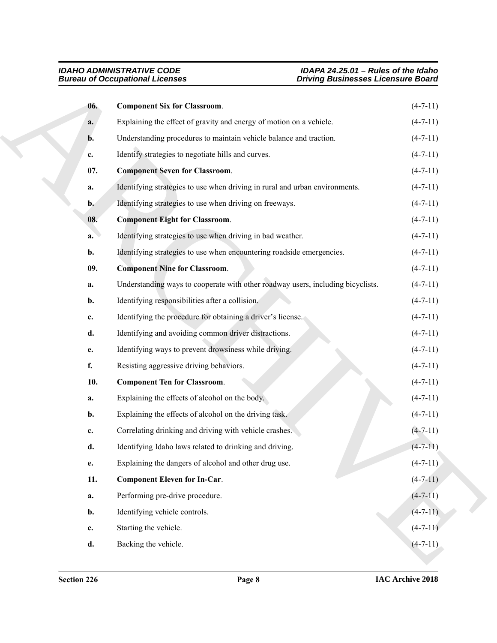<span id="page-7-5"></span><span id="page-7-4"></span><span id="page-7-3"></span><span id="page-7-2"></span><span id="page-7-1"></span><span id="page-7-0"></span>

|                | <b>Bureau of Occupational Licenses</b>                                          | <b>Driving Businesses Licensure Board</b> |
|----------------|---------------------------------------------------------------------------------|-------------------------------------------|
| 06.            | <b>Component Six for Classroom.</b>                                             | $(4-7-11)$                                |
| a.             | Explaining the effect of gravity and energy of motion on a vehicle.             | $(4-7-11)$                                |
| b.             | Understanding procedures to maintain vehicle balance and traction.              | $(4-7-11)$                                |
| c.             | Identify strategies to negotiate hills and curves.                              | $(4-7-11)$                                |
| 07.            | <b>Component Seven for Classroom.</b>                                           | $(4-7-11)$                                |
| a.             | Identifying strategies to use when driving in rural and urban environments.     | $(4-7-11)$                                |
| $\mathbf{b}$ . | Identifying strategies to use when driving on freeways.                         | $(4-7-11)$                                |
| 08.            | <b>Component Eight for Classroom.</b>                                           | $(4-7-11)$                                |
| a.             | Identifying strategies to use when driving in bad weather.                      | $(4-7-11)$                                |
| b.             | Identifying strategies to use when encountering roadside emergencies.           | $(4-7-11)$                                |
| 09.            | <b>Component Nine for Classroom.</b>                                            | $(4-7-11)$                                |
| a.             | Understanding ways to cooperate with other roadway users, including bicyclists. | $(4-7-11)$                                |
| b.             | Identifying responsibilities after a collision.                                 | $(4-7-11)$                                |
| c.             | Identifying the procedure for obtaining a driver's license.                     | $(4-7-11)$                                |
| d.             | Identifying and avoiding common driver distractions.                            | $(4-7-11)$                                |
| e.             | Identifying ways to prevent drowsiness while driving.                           | $(4-7-11)$                                |
| f.             | Resisting aggressive driving behaviors.                                         | $(4-7-11)$                                |
| 10.            | <b>Component Ten for Classroom.</b>                                             | $(4-7-11)$                                |
| a.             | Explaining the effects of alcohol on the body.                                  | $(4-7-11)$                                |
| b.             | Explaining the effects of alcohol on the driving task.                          | $(4-7-11)$                                |
| c.             | Correlating drinking and driving with vehicle crashes.                          | $(4 - 7 - 11)$                            |
| d.             | Identifying Idaho laws related to drinking and driving.                         | $(4 - 7 - 11)$                            |
| e.             | Explaining the dangers of alcohol and other drug use.                           | $(4 - 7 - 11)$                            |
| 11.            | <b>Component Eleven for In-Car.</b>                                             | $(4-7-11)$                                |
| a.             | Performing pre-drive procedure.                                                 | $(4 - 7 - 11)$                            |
| b.             | Identifying vehicle controls.                                                   | $(4-7-11)$                                |
| c.             | Starting the vehicle.                                                           | $(4-7-11)$                                |
| d.             | Backing the vehicle.                                                            | $(4 - 7 - 11)$                            |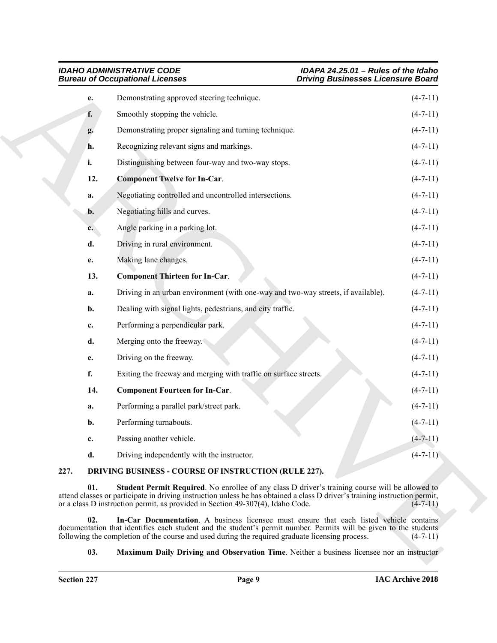<span id="page-8-7"></span><span id="page-8-6"></span>

| <b>IDAHO ADMINISTRATIVE CODE</b>       |  |
|----------------------------------------|--|
| <b>Bureau of Occupational Licenses</b> |  |

|      |                | <b>Bureau of Occupational Licenses</b>                                                                                                                                                                                                                                                                           | <b>Driving Businesses Licensure Board</b> |
|------|----------------|------------------------------------------------------------------------------------------------------------------------------------------------------------------------------------------------------------------------------------------------------------------------------------------------------------------|-------------------------------------------|
|      | е.             | Demonstrating approved steering technique.                                                                                                                                                                                                                                                                       | $(4-7-11)$                                |
|      | f.             | Smoothly stopping the vehicle.                                                                                                                                                                                                                                                                                   | $(4-7-11)$                                |
|      | g.             | Demonstrating proper signaling and turning technique.                                                                                                                                                                                                                                                            | $(4-7-11)$                                |
|      | h.             | Recognizing relevant signs and markings.                                                                                                                                                                                                                                                                         | $(4-7-11)$                                |
|      | i.             | Distinguishing between four-way and two-way stops.                                                                                                                                                                                                                                                               | $(4-7-11)$                                |
|      | 12.            | <b>Component Twelve for In-Car.</b>                                                                                                                                                                                                                                                                              | $(4-7-11)$                                |
|      | a.             | Negotiating controlled and uncontrolled intersections.                                                                                                                                                                                                                                                           | $(4-7-11)$                                |
|      | $\mathbf{b}$ . | Negotiating hills and curves.                                                                                                                                                                                                                                                                                    | $(4-7-11)$                                |
|      | $c_{\star}$    | Angle parking in a parking lot.                                                                                                                                                                                                                                                                                  | $(4-7-11)$                                |
|      | d.             | Driving in rural environment.                                                                                                                                                                                                                                                                                    | $(4-7-11)$                                |
|      | e.             | Making lane changes.                                                                                                                                                                                                                                                                                             | $(4-7-11)$                                |
|      | 13.            | <b>Component Thirteen for In-Car.</b>                                                                                                                                                                                                                                                                            | $(4-7-11)$                                |
|      | a.             | Driving in an urban environment (with one-way and two-way streets, if available).                                                                                                                                                                                                                                | $(4-7-11)$                                |
|      | b.             | Dealing with signal lights, pedestrians, and city traffic.                                                                                                                                                                                                                                                       | $(4-7-11)$                                |
|      | c.             | Performing a perpendicular park.                                                                                                                                                                                                                                                                                 | $(4-7-11)$                                |
|      | d.             | Merging onto the freeway.                                                                                                                                                                                                                                                                                        | $(4-7-11)$                                |
|      | e.             | Driving on the freeway.                                                                                                                                                                                                                                                                                          | $(4-7-11)$                                |
|      | f.             | Exiting the freeway and merging with traffic on surface streets.                                                                                                                                                                                                                                                 | $(4-7-11)$                                |
|      | 14.            | <b>Component Fourteen for In-Car.</b>                                                                                                                                                                                                                                                                            | $(4-7-11)$                                |
|      | a.             | Performing a parallel park/street park.                                                                                                                                                                                                                                                                          | $(4-7-11)$                                |
|      | b.             | Performing turnabouts.                                                                                                                                                                                                                                                                                           | $(4 - 7 - 11)$                            |
|      | c.             | Passing another vehicle.                                                                                                                                                                                                                                                                                         | $(4 - 7 - 11)$                            |
|      | d.             | Driving independently with the instructor.                                                                                                                                                                                                                                                                       | $(4-7-11)$                                |
| 227. |                | DRIVING BUSINESS - COURSE OF INSTRUCTION (RULE 227).                                                                                                                                                                                                                                                             |                                           |
|      | 01.            | Student Permit Required. No enrollee of any class D driver's training course will be allowed to<br>attend classes or participate in driving instruction unless he has obtained a class D driver's training instruction permit,<br>or a class D instruction permit, as provided in Section 49-307(4), Idaho Code. | $(4-7-11)$                                |
|      | 02.            | In-Car Documentation. A business licensee must ensure that each listed vehicle contains<br>documentation that identifies each student and the student's permit number. Permits will be given to the students<br>following the completion of the course and used during the required graduate licensing process.  | $(4-7-11)$                                |
|      | 03.            | <b>Maximum Daily Driving and Observation Time.</b> Neither a business licensee nor an instructor                                                                                                                                                                                                                 |                                           |

### <span id="page-8-5"></span><span id="page-8-4"></span><span id="page-8-1"></span><span id="page-8-0"></span>**227. DRIVING BUSINESS - COURSE OF INSTRUCTION (RULE 227).**

### <span id="page-8-3"></span><span id="page-8-2"></span>**03. Maximum Daily Driving and Observation Time**. Neither a business licensee nor an instructor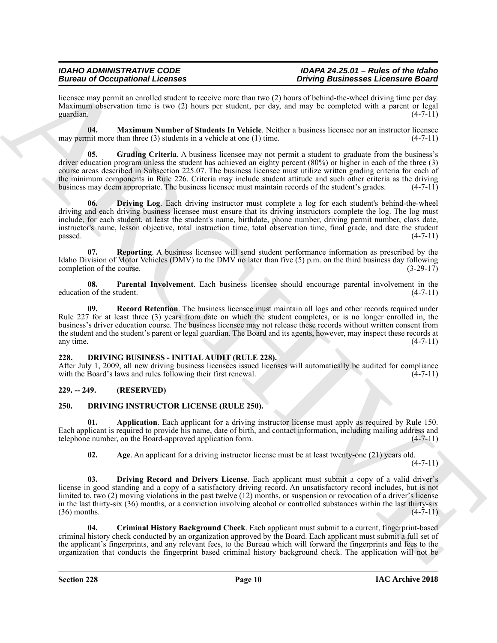licensee may permit an enrolled student to receive more than two (2) hours of behind-the-wheel driving time per day. Maximum observation time is two (2) hours per student, per day, and may be completed with a parent or legal guardian.  $(4-7-11)$ guardian.  $(4-7-11)$ 

<span id="page-9-5"></span>**04. Maximum Number of Students In Vehicle**. Neither a business licensee nor an instructor licensee may permit more than three  $(3)$  students in a vehicle at one  $(1)$  time. (4-7-11)

<span id="page-9-4"></span><span id="page-9-3"></span>**05.** Grading Criteria. A business licensee may not permit a student to graduate from the business's driver education program unless the student has achieved an eighty percent (80%) or higher in each of the three (3) course areas described in Subsection 225.07. The business licensee must utilize written grading criteria for each of the minimum components in Rule 226. Criteria may include student attitude and such other criteria as the driving business may deem appropriate. The business licensee must maintain records of the student's grades. (4-7-11)

Beative of Occupation and Dente Beative of the state of the state of the state of the state of the state of the state of the state of the state of the state of the state of the state of the state of the state of the state **06. Driving Log**. Each driving instructor must complete a log for each student's behind-the-wheel driving and each driving business licensee must ensure that its driving instructors complete the log. The log must include, for each student, at least the student's name, birthdate, phone number, driving permit number, class date, instructor's name, lesson objective, total instruction time, total observation time, final grade, and date the student  $p$ assed.  $(4-7-11)$ 

<span id="page-9-8"></span>**07. Reporting**. A business licensee will send student performance information as prescribed by the Idaho Division of Motor Vehicles (DMV) to the DMV no later than five (5) p.m. on the third business day following completion of the course. (3-29-17) completion of the course.

<span id="page-9-6"></span>**08. Parental Involvement**. Each business licensee should encourage parental involvement in the education of the student. (4-7-11)

<span id="page-9-7"></span>**09. Record Retention**. The business licensee must maintain all logs and other records required under Rule 227 for at least three (3) years from date on which the student completes, or is no longer enrolled in, the business's driver education course. The business licensee may not release these records without written consent from the student and the student's parent or legal guardian. The Board and its agents, however, may inspect these records at any time. (4-7-11) any time.  $(4-7-11)$ 

#### <span id="page-9-9"></span><span id="page-9-0"></span>**228. DRIVING BUSINESS - INITIAL AUDIT (RULE 228).**

After July 1, 2009, all new driving business licensees issued licenses will automatically be audited for compliance with the Board's laws and rules following their first renewal. (4-7-11) with the Board's laws and rules following their first renewal.

### <span id="page-9-1"></span>**229. -- 249. (RESERVED)**

### <span id="page-9-10"></span><span id="page-9-2"></span>**250. DRIVING INSTRUCTOR LICENSE (RULE 250).**

**01. Application**. Each applicant for a driving instructor license must apply as required by Rule 150. Each applicant is required to provide his name, date of birth, and contact information, including mailing address and telephone number, on the Board-approved application form. (4-7-11)

<span id="page-9-14"></span><span id="page-9-12"></span><span id="page-9-11"></span>**02.** Age. An applicant for a driving instructor license must be at least twenty-one (21) years old.

 $(4 - 7 - 11)$ 

**03. Driving Record and Drivers License**. Each applicant must submit a copy of a valid driver's license in good standing and a copy of a satisfactory driving record. An unsatisfactory record includes, but is not limited to, two (2) moving violations in the past twelve (12) months, or suspension or revocation of a driver's license in the last thirty-six (36) months, or a conviction involving alcohol or controlled substances within the last thirty-six  $(36)$  months.  $(4-7-11)$ 

<span id="page-9-13"></span>**04. Criminal History Background Check**. Each applicant must submit to a current, fingerprint-based criminal history check conducted by an organization approved by the Board. Each applicant must submit a full set of the applicant's fingerprints, and any relevant fees, to the Bureau which will forward the fingerprints and fees to the organization that conducts the fingerprint based criminal history background check. The application will not be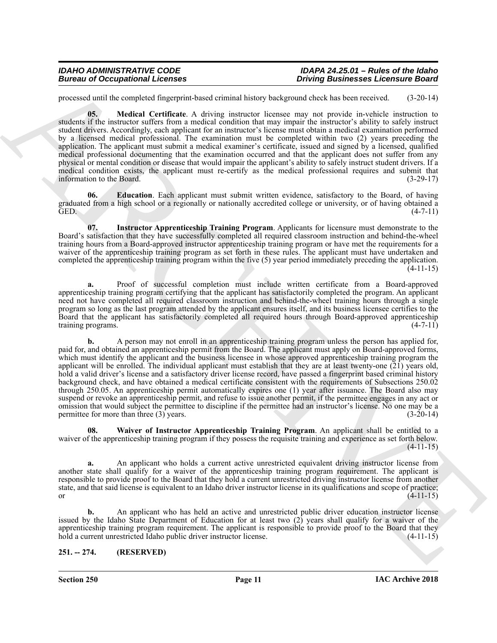<span id="page-10-3"></span>processed until the completed fingerprint-based criminal history background check has been received. (3-20-14)

**05. Medical Certificate**. A driving instructor licensee may not provide in-vehicle instruction to students if the instructor suffers from a medical condition that may impair the instructor's ability to safely instruct student drivers. Accordingly, each applicant for an instructor's license must obtain a medical examination performed by a licensed medical professional. The examination must be completed within two (2) years preceding the application. The applicant must submit a medical examiner's certificate, issued and signed by a licensed, qualified medical professional documenting that the examination occurred and that the applicant does not suffer from any physical or mental condition or disease that would impair the applicant's ability to safely instruct student drivers. If a medical condition exists, the applicant must re-certify as the medical professional requires and submit that information to the Board. (3-29-17)

<span id="page-10-1"></span>**06. Education**. Each applicant must submit written evidence, satisfactory to the Board, of having graduated from a high school or a regionally or nationally accredited college or university, or of having obtained a GED. (4-7-11)

<span id="page-10-2"></span>**07. Instructor Apprenticeship Training Program**. Applicants for licensure must demonstrate to the Board's satisfaction that they have successfully completed all required classroom instruction and behind-the-wheel training hours from a Board-approved instructor apprenticeship training program or have met the requirements for a waiver of the apprenticeship training program as set forth in these rules. The applicant must have undertaken and completed the apprenticeship training program within the five (5) year period immediately preceding the application.  $(4-11-15)$ 

**a.** Proof of successful completion must include written certificate from a Board-approved apprenticeship training program certifying that the applicant has satisfactorily completed the program. An applicant need not have completed all required classroom instruction and behind-the-wheel training hours through a single program so long as the last program attended by the applicant ensures itself, and its business licensee certifies to the Board that the applicant has satisfactorily completed all required hours through Board-approved apprenticeship training programs. (4-7-11)

Borrow of Occupational Leonards<br>
Theorem is the state of the state of the state of the state of the state of the state of the state of the state of the state of the state of the state of the state of the state of the stat **b.** A person may not enroll in an apprenticeship training program unless the person has applied for, paid for, and obtained an apprenticeship permit from the Board. The applicant must apply on Board-approved forms, which must identify the applicant and the business licensee in whose approved apprenticeship training program the applicant will be enrolled. The individual applicant must establish that they are at least twenty-one  $(21)$  years old, hold a valid driver's license and a satisfactory driver license record, have passed a fingerprint based criminal history background check, and have obtained a medical certificate consistent with the requirements of Subsections 250.02 through 250.05. An apprenticeship permit automatically expires one (1) year after issuance. The Board also may suspend or revoke an apprenticeship permit, and refuse to issue another permit, if the permittee engages in any act or omission that would subject the permittee to discipline if the permittee had an instructor's license. No one may be a permittee for more than three (3) years. permittee for more than three  $(3)$  years.

<span id="page-10-4"></span>**08. Waiver of Instructor Apprenticeship Training Program**. An applicant shall be entitled to a waiver of the apprenticeship training program if they possess the requisite training and experience as set forth below.  $(4-11-15)$ 

**a.** An applicant who holds a current active unrestricted equivalent driving instructor license from another state shall qualify for a waiver of the apprenticeship training program requirement. The applicant is responsible to provide proof to the Board that they hold a current unrestricted driving instructor license from another state, and that said license is equivalent to an Idaho driver instructor license in its qualifications and scope of practice; or  $(4-11-15)$ 

**b.** An applicant who has held an active and unrestricted public driver education instructor license issued by the Idaho State Department of Education for at least two (2) years shall qualify for a waiver of the apprenticeship training program requirement. The applicant is responsible to provide proof to the Board that they<br>hold a current unrestricted Idaho public driver instructor license. (4-11-15) hold a current unrestricted Idaho public driver instructor license.

### <span id="page-10-0"></span>**251. -- 274. (RESERVED)**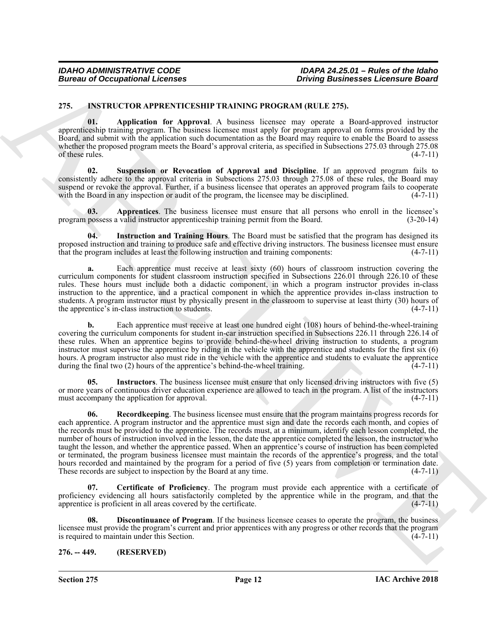#### <span id="page-11-2"></span><span id="page-11-0"></span>**275. INSTRUCTOR APPRENTICESHIP TRAINING PROGRAM (RULE 275).**

<span id="page-11-3"></span>**01. Application for Approval**. A business licensee may operate a Board-approved instructor apprenticeship training program. The business licensee must apply for program approval on forms provided by the Board, and submit with the application such documentation as the Board may require to enable the Board to assess whether the proposed program meets the Board's approval criteria, as specified in Subsections 275.03 through 275.08 of these rules.  $(4-7-11)$ 

<span id="page-11-10"></span>**Suspension or Revocation of Approval and Discipline**. If an approved program fails to consistently adhere to the approval criteria in Subsections 275.03 through 275.08 of these rules, the Board may suspend or revoke the approval. Further, if a business licensee that operates an approved program fails to cooperate with the Board in any inspection or audit of the program, the licensee may be disciplined. (4-7-11) with the Board in any inspection or audit of the program, the licensee may be disciplined.

<span id="page-11-4"></span>**03. Apprentices**. The business licensee must ensure that all persons who enroll in the licensee's program possess a valid instructor apprenticeship training permit from the Board. (3-20-14)

<span id="page-11-7"></span>**04. Instruction and Training Hours**. The Board must be satisfied that the program has designed its proposed instruction and training to produce safe and effective driving instructors. The business licensee must ensure that the program includes at least the following instruction and training components: (4-7-11)

**a.** Each apprentice must receive at least sixty (60) hours of classroom instruction covering the curriculum components for student classroom instruction specified in Subsections 226.01 through 226.10 of these rules. These hours must include both a didactic component, in which a program instructor provides in-class instruction to the apprentice, and a practical component in which the apprentice provides in-class instruction to students. A program instructor must by physically present in the classroom to supervise at least thirty (30) hours of the apprentice's in-class instruction to students. (4-7-11)

**b.** Each apprentice must receive at least one hundred eight (108) hours of behind-the-wheel-training covering the curriculum components for student in-car instruction specified in Subsections 226.11 through 226.14 of these rules. When an apprentice begins to provide behind-the-wheel driving instruction to students, a program instructor must supervise the apprentice by riding in the vehicle with the apprentice and students for the first six (6) hours. A program instructor also must ride in the vehicle with the apprentice and students to evaluate the apprentice during the final two (2) hours of the apprentice's behind-the-wheel training. (4-7-11)

<span id="page-11-9"></span><span id="page-11-8"></span>**05. Instructors**. The business licensee must ensure that only licensed driving instructors with five (5) or more years of continuous driver education experience are allowed to teach in the program. A list of the instructors must accompany the application for approval. (4-7-11)

Borrow of Occupational Lebence<br>
275. INSTRUCTION HERMINA PROGRAM (MARCHIVER PROGRAM CONTROL CONTROL CONTROL CONTROL CONTROL CONTROL CONTROL CONTROL CONTROL CONTROL CONTROL CONTROL CONTROL CONTROL CONTROL CONTROL CONTROL C **06. Recordkeeping**. The business licensee must ensure that the program maintains progress records for each apprentice. A program instructor and the apprentice must sign and date the records each month, and copies of the records must be provided to the apprentice. The records must, at a minimum, identify each lesson completed, the number of hours of instruction involved in the lesson, the date the apprentice completed the lesson, the instructor who taught the lesson, and whether the apprentice passed. When an apprentice's course of instruction has been completed or terminated, the program business licensee must maintain the records of the apprentice's progress, and the total hours recorded and maintained by the program for a period of five  $(5)$  years from completion or termination date. These records are subject to inspection by the Board at any time. (4-7-11)

<span id="page-11-5"></span>**07. Certificate of Proficiency**. The program must provide each apprentice with a certificate of proficiency evidencing all hours satisfactorily completed by the apprentice while in the program, and that the apprentice is proficient in all areas covered by the certificate. (4-7-11)

<span id="page-11-6"></span>**08. Discontinuance of Program**. If the business licensee ceases to operate the program, the business licensee must provide the program's current and prior apprentices with any progress or other records that the program<br>is required to maintain under this Section. is required to maintain under this Section.

#### <span id="page-11-1"></span>**276. -- 449. (RESERVED)**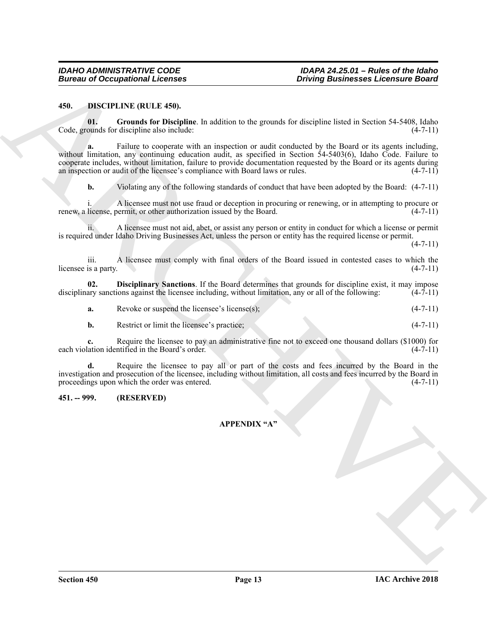#### <span id="page-12-2"></span><span id="page-12-0"></span>**450. DISCIPLINE (RULE 450).**

<span id="page-12-4"></span>**01. Grounds for Discipline**. In addition to the grounds for discipline listed in Section 54-5408, Idaho Code, grounds for discipline also include: (4-7-11)

Bureau of Occupational Licenses<br>
450. Distribution (Ed. 1458).<br>
161. Granula Lice Pheigline: In exhibition to the terminal Architectural Section 24-150 (Stabs<br>
Cocke, granula Lice Pheigline: In exhibition to the terminal **a.** Failure to cooperate with an inspection or audit conducted by the Board or its agents including, without limitation, any continuing education audit, as specified in Section 54-5403(6), Idaho Code. Failure to cooperate includes, without limitation, failure to provide documentation requested by the Board or its agents during an inspection or audit of the licensee's compliance with Board laws or rules. (4-7-11)

**b.** Violating any of the following standards of conduct that have been adopted by the Board:  $(4-7-11)$ 

i. A licensee must not use fraud or deception in procuring or renewing, or in attempting to procure or renew, a license, permit, or other authorization issued by the Board. (4-7-11)

ii. A licensee must not aid, abet, or assist any person or entity in conduct for which a license or permit is required under Idaho Driving Businesses Act, unless the person or entity has the required license or permit.

 $(4 - 7 - 11)$ 

iii. A licensee must comply with final orders of the Board issued in contested cases to which the licensee is a party.

**02. Disciplinary Sanctions**. If the Board determines that grounds for discipline exist, it may impose disciplinary sanctions against the licensee including, without limitation, any or all of the following: (4-7-11)

<span id="page-12-3"></span>**a.** Revoke or suspend the licensee's license(s); (4-7-11)

**b.** Restrict or limit the licensee's practice; (4-7-11)

**c.** Require the licensee to pay an administrative fine not to exceed one thousand dollars (\$1000) for lation identified in the Board's order. (4-7-11) each violation identified in the Board's order.

**d.** Require the licensee to pay all or part of the costs and fees incurred by the Board in the investigation and prosecution of the licensee, including without limitation, all costs and fees incurred by the Board in proceedings upon which the order was entered.  $(4-7-11)$ 

#### <span id="page-12-1"></span>**451. -- 999. (RESERVED)**

#### **APPENDIX "A"**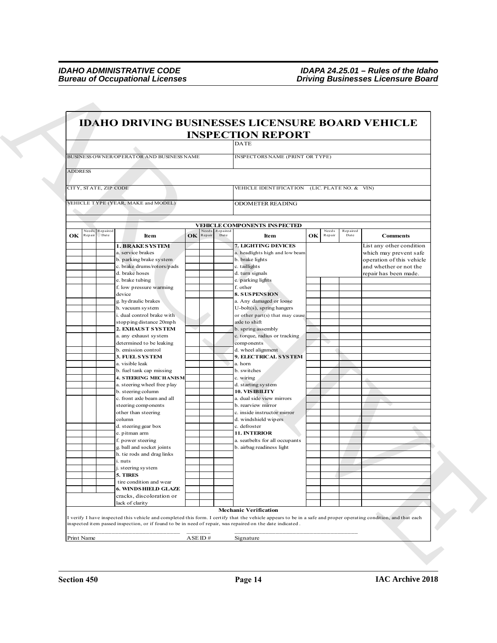|                       | <b>IDAHO DRIVING BUSINESSES LICENSURE BOARD VEHICLE</b>                                                                                                                                                                                                                        |                     |          |                                                                                            |    |        |          |                                                                                                           |
|-----------------------|--------------------------------------------------------------------------------------------------------------------------------------------------------------------------------------------------------------------------------------------------------------------------------|---------------------|----------|--------------------------------------------------------------------------------------------|----|--------|----------|-----------------------------------------------------------------------------------------------------------|
|                       |                                                                                                                                                                                                                                                                                |                     |          | <b>INSPECTION REPORT</b><br><b>DATE</b>                                                    |    |        |          |                                                                                                           |
|                       |                                                                                                                                                                                                                                                                                |                     |          |                                                                                            |    |        |          |                                                                                                           |
|                       | BUSINESS OWNER/OPERATOR AND BUSINESS NAME                                                                                                                                                                                                                                      |                     |          | INSPECTORS NAME (PRINT OR TYPE)                                                            |    |        |          |                                                                                                           |
| <b>ADDRESS</b>        |                                                                                                                                                                                                                                                                                |                     |          |                                                                                            |    |        |          |                                                                                                           |
| CITY, STATE, ZIP CODE |                                                                                                                                                                                                                                                                                |                     |          | VEHICLE IDENTIFICATION (LIC. PLATE NO. & VIN)                                              |    |        |          |                                                                                                           |
|                       | VEHICLE TYPE (YEAR, MAKE and MODEL)                                                                                                                                                                                                                                            |                     |          | <b>ODOMETER READING</b>                                                                    |    |        |          |                                                                                                           |
|                       |                                                                                                                                                                                                                                                                                |                     |          |                                                                                            |    |        |          |                                                                                                           |
| Need:<br>Repaired     |                                                                                                                                                                                                                                                                                | leeds               | Repaired | <b>VEHICLE COMPONENTS INSPECTED</b>                                                        |    | Needs  | Repaired |                                                                                                           |
| OK<br>Date<br>Repai   | Item                                                                                                                                                                                                                                                                           | <b>OK</b><br>Repair | Date     | Item                                                                                       | OK | Repair | Date     | <b>Comments</b>                                                                                           |
|                       | <b>1. BRAKE SYSTEM</b><br>a. service brakes<br>b. parking brake system<br>c. brake drums/rotors/pads                                                                                                                                                                           |                     |          | 7. LIGHTING DEVICES<br>a. headlights high and low beam<br>b. brake lights<br>c. taillights |    |        |          | List any other condition<br>which may prevent safe<br>operation of this vehicle<br>and whether or not the |
|                       | d. brake hoses<br>e. brake tubing                                                                                                                                                                                                                                              |                     |          | d. turn signals<br>e. parking lights                                                       |    |        |          | repair has been made.                                                                                     |
|                       | f. low pressure warming                                                                                                                                                                                                                                                        |                     |          | f. other                                                                                   |    |        |          |                                                                                                           |
|                       | device<br>g. hydraulic brakes                                                                                                                                                                                                                                                  |                     |          | <b>8. SUSPENSION</b><br>a. Any damaged or loose                                            |    |        |          |                                                                                                           |
|                       | h. vacuum system<br>i. dual control brake with                                                                                                                                                                                                                                 |                     |          | U-bolt(s), spring hangers<br>or other part(s) that may cause                               |    |        |          |                                                                                                           |
|                       | stopping distance 20mph                                                                                                                                                                                                                                                        |                     |          | axle to shift                                                                              |    |        |          |                                                                                                           |
|                       | 2. EXHAUST SYSTEM<br>a. any exhaust system                                                                                                                                                                                                                                     |                     |          | b. spring assembly<br>c. torque, radius or tracking                                        |    |        |          |                                                                                                           |
|                       | determined to be leaking                                                                                                                                                                                                                                                       |                     |          | components                                                                                 |    |        |          |                                                                                                           |
|                       | b. emission control<br>3. FUEL SYSTEM                                                                                                                                                                                                                                          |                     |          | d. wheel alignment<br>9. ELECTRICAL SYSTEM                                                 |    |        |          |                                                                                                           |
|                       | a. visible leak                                                                                                                                                                                                                                                                |                     |          | a. horn                                                                                    |    |        |          |                                                                                                           |
|                       | b. fuel tank cap missing<br><b>4. STEERING MECHANISM</b>                                                                                                                                                                                                                       |                     |          | b. switches<br>c. wiring                                                                   |    |        |          |                                                                                                           |
|                       | a. steering wheel free play                                                                                                                                                                                                                                                    |                     |          | d. starting system                                                                         |    |        |          |                                                                                                           |
|                       | b. steering column<br>c. front axle beam and all                                                                                                                                                                                                                               |                     |          | 10. VIS IBILITY<br>a. dual side view mirrors                                               |    |        |          |                                                                                                           |
|                       | steering components                                                                                                                                                                                                                                                            |                     |          | b. rearview mirror                                                                         |    |        |          |                                                                                                           |
|                       | other than steering<br>column                                                                                                                                                                                                                                                  |                     |          | c. inside instructor mirror<br>d. windshield wipers                                        |    |        |          |                                                                                                           |
|                       | d. steering gear box                                                                                                                                                                                                                                                           |                     |          | c. defroster<br>11. INTERIOR                                                               |    |        |          |                                                                                                           |
|                       | e. pitman arm<br>f. power steering                                                                                                                                                                                                                                             |                     |          | a. seatbelts for all occupants                                                             |    |        |          |                                                                                                           |
|                       | g. ball and socket joints                                                                                                                                                                                                                                                      |                     |          | b. airbag readiness light                                                                  |    |        |          |                                                                                                           |
|                       | h. tie rods and drag links<br>i. nuts                                                                                                                                                                                                                                          |                     |          |                                                                                            |    |        |          |                                                                                                           |
|                       | j. steering system                                                                                                                                                                                                                                                             |                     |          |                                                                                            |    |        |          |                                                                                                           |
|                       | 5. TIRES<br>tire condition and wear                                                                                                                                                                                                                                            |                     |          |                                                                                            |    |        |          |                                                                                                           |
|                       | <b>6. WINDS HIELD GLAZE</b>                                                                                                                                                                                                                                                    |                     |          |                                                                                            |    |        |          |                                                                                                           |
|                       | cracks, discoloration or<br>lack of clarity                                                                                                                                                                                                                                    |                     |          |                                                                                            |    |        |          |                                                                                                           |
|                       |                                                                                                                                                                                                                                                                                |                     |          | <b>Mechanic Verification</b>                                                               |    |        |          |                                                                                                           |
|                       | I verify I have inspected this vehicle and completed this form. I certify that the vehicle appears to be in a safe and proper operating condition, and that each<br>inspected item passed inspection, or if found to be in need of repair, was repaired on the date indicated. |                     |          |                                                                                            |    |        |          |                                                                                                           |
| Print Name            |                                                                                                                                                                                                                                                                                | ASEID#              |          | Signature                                                                                  |    |        |          |                                                                                                           |